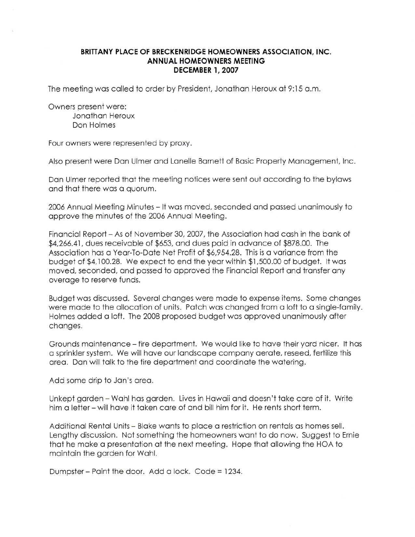## **BRITTANY PLACE OF BRECKENRIDGE HOMEOWNERS ASSOCIATION, INC. ANNUAL HOMEOWNERS MEETING DECEMBER 1,2007**

The meeting was called to order by President, Jonathan Heroux at 9:15 a.m.

Owners present were:

Jonathan Heroux Don Holmes

Four owners were represented by proxy.

Also present were Dan Ulmerand Lanelle Barnett of Basic Property Management, Inc.

Dan Ulmer reported that the meeting notices were sent out according to the bylaws and that there was a quorum.

2006 Annual Meeting Minutes - It was moved, seconded and passed unanimously to approve the minutes of the 2006 Annual Meeting.

Financial Report - As of November 30, 2007, the Association had cash in the bank of \$4,266.41, dues receivable of \$653, and dues paid in advance of \$878.00. The Association has a Year-To-Date Net Profit of \$6,954.28. This is a variance from the budget of \$4,100.28. We expect to end the year within \$1,500.00 of budget. It was moved, seconded, and passed to approved the Financial Report and transfer any overage to reserve funds.

Budget was discussed. Several changes were made to expense items. Some changes were made to the allocation of units. Patch was changed from a loft to a single-family. Holmes added a loft. The 2008 proposed budget was approved unanimously after changes.

Grounds maintenance - fire department. We would like to have their yard nicer. It has a sprinkler system. We will have our landscape company aerate, reseed, fertilize this area. Dan will talk to the fire department and coordinate the watering.

Add some drip to Jan's area.

Unkept garden - Wahl has garden. Lives in Hawaii and doesn't take care of it. Write him a letter - will have it taken care of and bill him for it. He rents short term.

Additional Rental Units - Blake wants to place a restriction on rentals as homes sell. Lengthy discussion. Not something the homeowners want to do now. Suggest to Ernie that he make a presentation at the next meeting. Hope that allowing the HOA to maintain the garden for Wahl.

Dumpster-Paint the door. Add a lock. Code =1234.